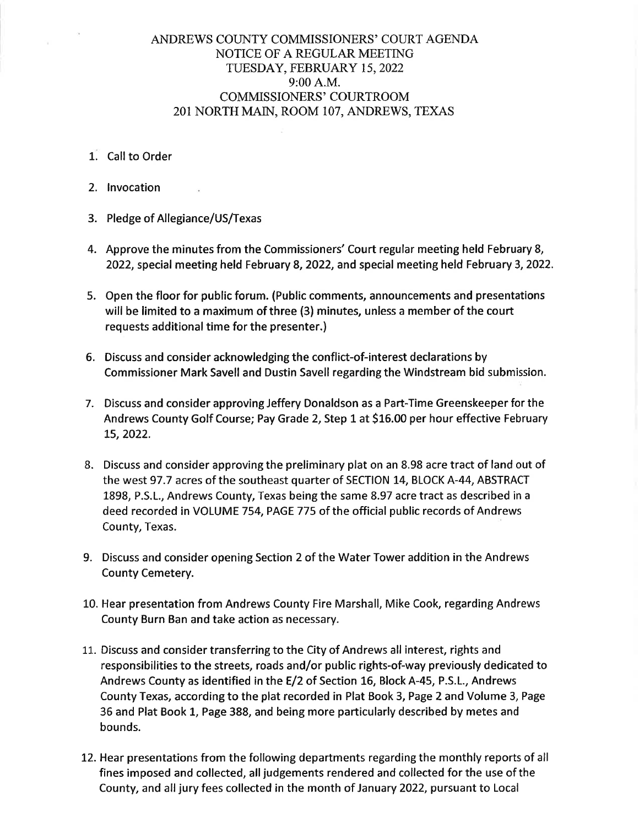## ANDREWS COUNTY COMMISSIONERS' COURT AGENDA NOTICE OF A REGULAR MEETING TUESDAY, FEBRUARY 15, 2022 9:00 A.M. COMMISSIONERS' COURTROOM 201 NORTH MAIN, ROOM 107, ANDREWS, TEXAS

- 1. Call to Order
- 2. lnvocation
- 3. Pledge of Allegiance/US/Texas
- 4. Approve the minutes from the Commissioners' Court regular meeting held February 8, 2022, special meeting held February 8, 2022, and special meeting held February 3,2022.
- 5. Open the floor for public forum. (Public comments, announcements and presentations will be limited to a maximum of three (3) minutes, unless a member of the court requests additional time for the presenter.)
- 6. Discuss and consider acknowledging the conflict-of-interest declarations by Commissioner Mark Savell and Dustin Savell regarding the Windstream bid submission.
- 7. Discuss and consider approving Jeffery Donaldson as a Part-Time Greenskeeper for the Andrews County Golf Course; Pay Grade 2, Step 1 at 516.00 per hour effective February L5,2022.
- 8. Discuss and consider approving the preliminary plat on an 8.98 acre tract of land out of the west 97 .7 acres of the southeast quarter of SECTION 14, BLOCK A-44, ABSTRACT 1898, P.S.L., Andrews County, Texas being the same 8.97 acre tract as described in <sup>a</sup> deed recorded in VOLUME 754, PAGE 775 of the official public records of Andrews County, Texas.
- 9. Discuss and consider opening Section 2 of the Water Tower addition in the Andrews County Cemetery.
- 10. Hear presentation from Andrews County Fire Marshall, Mike Cook, regarding Andrews County Burn Ban and take action as necessary.
- 11. Discuss and consider transferring to the City of Andrews all interest, rights and responsibilities to the streets, roads and/or public rights-of-way previously dedicated to Andrews County as identified in the E/2 of Section L6, Block A-45, P.S.L., Andrews County Texas, according to the plat recorded in Plat Book 3, Page 2 and Volume 3, Page 35 and Plat Book 1, Page 388, and being more particularly described by metes and bounds.
- 12. Hear presentations from the following departments regarding the monthly reports of all fines imposed and collected, all judgements rendered and collected for the use of the County, and all jury fees collected in the month of January 2022, pursuant to Local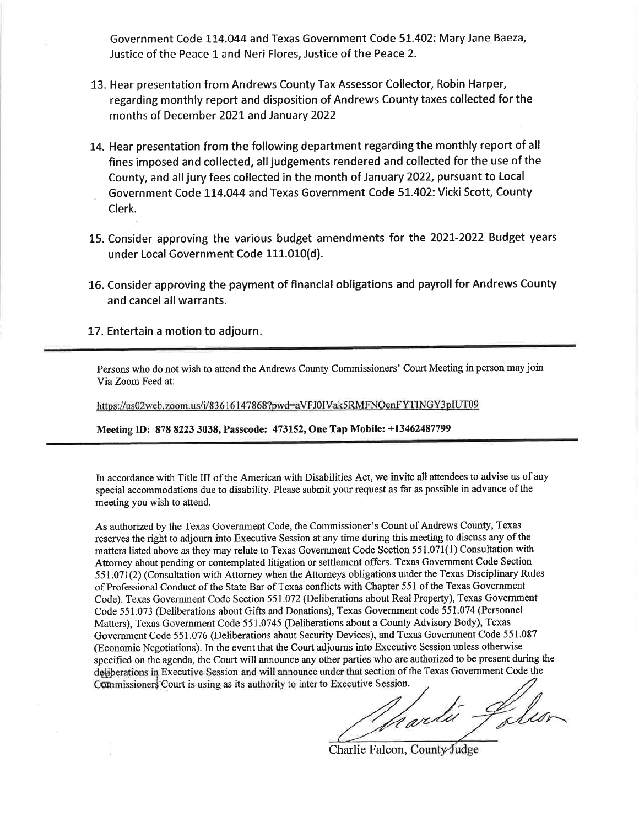Government Code 114.044 and Texas Government Code 51.402: Mary Jane Baeza, Justice of the Peace 1 and Neri Flores, Justice of the Peace 2.

- 13. Hear presentation from Andrews County Tax Assessor Collector, Robin Harper, regarding monthly report and disposition of Andrews County taxes collected for the months of December 2O2L and January 2022
- 14. Hear presentation from the following department regarding the monthly report of all fines imposed and collected, alljudgements rendered and collected for the use of the County, and all jury fees collected in the month of January 2022, pursuant to Local Government Code 114.044 and Texas Government Code 51.402: Vicki Scott, County
- Clerk.
- L5. Consider approving the various budget amendments for the 2O2L-2022 Budget years under Local Government Code 111.010(d).
- 16. Consider approving the payment of financial obligations and payroll for Andrews County and cancel all warrants.
- 17. Entertain a motion to adjourn

Persons who do not wish to attend the Andrews County Commissioners' Court Meeting in person may join YiaZoom Feed at:

https://us02web.zoom.us/i/83616147868?pwd=aVFJ0IVak5RMFNOenFYTINGY3pIUT09

Meeting ID: 878 8223 3038, Passcode: 473152, One Tap Mobile: +13462487799

In accordance with Title III of the American with Disabilities Act, we invite all attendees to advise us of any special accommodations due to disability. Please submit your request as far as possible in advance of the meeting you wish to attend.

As authorized by the Texas Govenrment Code, the Commissioner's Count of Andrews County, Texas reserves the right to adjourn into Executive Session at any time during this meeting to discuss any of the matters listed above as they may relate to Texas Government Code Section 551.071(l) Consultation with Attorney about pending or contemplated litigation or settlement offers. Texas Govemment Code Section 551.071(2) (Consultation with Attorney when the Attorneys obligations under the Texas Disciplinary Rules of Professional Conduct of the State Bar of Texas conflicts with Chapter 551 of the Texas Government Code). Texas Government Code Section 551.072 (Deliberations about Real Property), Texas Government Code 551.073 (Deliberations about Gifts and Donations), Texas Govemment code 551.074 (Personnel Matters), Texas Government Code 551.0745 (Deliberations about a County Advisory Body), Texas Government Code 55 1 .076 (Deliberations about Security Devices), and Texas Government Code 551.087 (Economic Negotiations). In the event that the Court adjourns into Executive Session unless otherwise specified on the agenda, the Court will announce any other parties who are authorized to be present during the dqliperations in Executive Session and will announce under that section of the Texas Government Code the

Commissioners Court is using as its authority to inter to Executive Session.<br>A architecture of the settlement of the settlement of the settlement of the settlement of the settlement of the settlement of the settlement of

Charlie Falcon, County-Judge